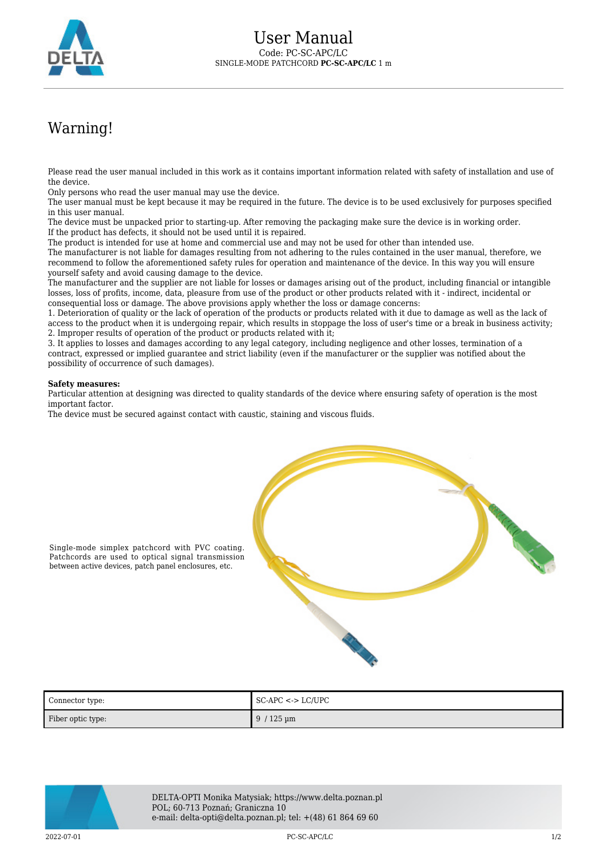

## Warning!

Please read the user manual included in this work as it contains important information related with safety of installation and use of the device.

Only persons who read the user manual may use the device.

The user manual must be kept because it may be required in the future. The device is to be used exclusively for purposes specified in this user manual.

The device must be unpacked prior to starting-up. After removing the packaging make sure the device is in working order. If the product has defects, it should not be used until it is repaired.

The product is intended for use at home and commercial use and may not be used for other than intended use.

The manufacturer is not liable for damages resulting from not adhering to the rules contained in the user manual, therefore, we recommend to follow the aforementioned safety rules for operation and maintenance of the device. In this way you will ensure yourself safety and avoid causing damage to the device.

The manufacturer and the supplier are not liable for losses or damages arising out of the product, including financial or intangible losses, loss of profits, income, data, pleasure from use of the product or other products related with it - indirect, incidental or consequential loss or damage. The above provisions apply whether the loss or damage concerns:

1. Deterioration of quality or the lack of operation of the products or products related with it due to damage as well as the lack of access to the product when it is undergoing repair, which results in stoppage the loss of user's time or a break in business activity; 2. Improper results of operation of the product or products related with it;

3. It applies to losses and damages according to any legal category, including negligence and other losses, termination of a contract, expressed or implied guarantee and strict liability (even if the manufacturer or the supplier was notified about the possibility of occurrence of such damages).

## **Safety measures:**

Particular attention at designing was directed to quality standards of the device where ensuring safety of operation is the most important factor.

The device must be secured against contact with caustic, staining and viscous fluids.



Single-mode simplex patchcord with PVC coating. Patchcords are used to optical signal transmission between active devices, patch panel enclosures, etc.

| Connector type:   | $\mid$ SC-APC <-> LC/UPC   |
|-------------------|----------------------------|
| Fiber optic type: | $9/125 \,\mathrm{\upmu m}$ |



DELTA-OPTI Monika Matysiak; https://www.delta.poznan.pl POL; 60-713 Poznań; Graniczna 10 e-mail: delta-opti@delta.poznan.pl; tel: +(48) 61 864 69 60